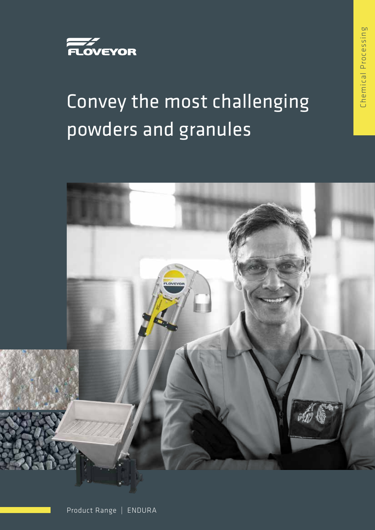

# Convey the most challenging powders and granules



Chemical Processing Chemical Processing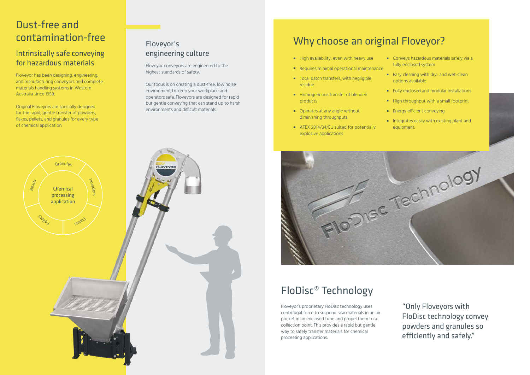#### Dust-free and contamination-free

#### Intrinsically safe conveying for hazardous materials

Floveyor has been designing, engineering, and manufacturing conveyors and complete materials handling systems in Western Australia since 1958.

Original Floveyors are specially designed for the rapid, gentle transfer of powders, flakes, pellets, and granules for every type of chemical application.

#### Floveyor's engineering culture

Floveyor conveyors are engineered to the highest standards of safety.

- High availability, even with heavy use
- Requires minimal operational maintenance
- Total batch transfers, with negligible residue
- Homogeneous transfer of blended products
- Operates at any angle without diminishing throughputs
- ATEX 2014/34/EU suited for potentially explosive applications



Our focus is on creating a dust-free, low noise environment to keep your workplace and operators safe. Floveyors are designed for rapid but gentle conveying that can stand up to harsh environments and difficult materials.

- Conveys hazardous materials safely via a fully enclosed system
- Easy cleaning with dry- and wet-clean options available
- Fully enclosed and modular installations
- High throughput with a small footprint
- **Energy efficient conveying**
- Integrates easily with existing plant and equipment.

## Why choose an original Floveyor?

## FloDisc® Technology

Floveyor's proprietary FloDisc technology uses centrifugal force to suspend raw materials in an air pocket in an enclosed tube and propel them to a collection point. This provides a rapid but gentle way to safely transfer materials for chemical processing applications.